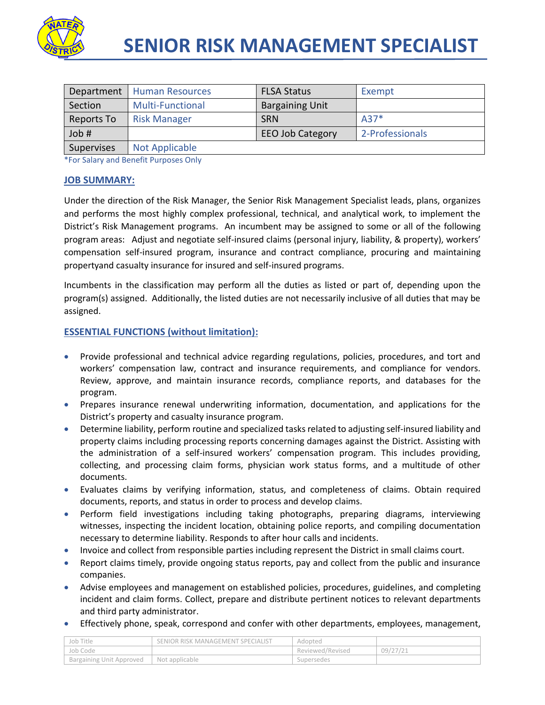

|                   | Department   Human Resources | <b>FLSA Status</b>      | Exempt          |
|-------------------|------------------------------|-------------------------|-----------------|
| Section           | <b>Multi-Functional</b>      | <b>Bargaining Unit</b>  |                 |
| Reports To        | <b>Risk Manager</b>          | <b>SRN</b>              | $A37*$          |
| Job #             |                              | <b>EEO Job Category</b> | 2-Professionals |
| <b>Supervises</b> | <b>Not Applicable</b>        |                         |                 |

\*For Salary and Benefit Purposes Only

#### **JOB SUMMARY:**

Under the direction of the Risk Manager, the Senior Risk Management Specialist leads, plans, organizes and performs the most highly complex professional, technical, and analytical work, to implement the District's Risk Management programs. An incumbent may be assigned to some or all of the following program areas: Adjust and negotiate self-insured claims (personal injury, liability, & property), workers' compensation self-insured program, insurance and contract compliance, procuring and maintaining propertyand casualty insurance for insured and self-insured programs.

Incumbents in the classification may perform all the duties as listed or part of, depending upon the program(s) assigned. Additionally, the listed duties are not necessarily inclusive of all duties that may be assigned.

### **ESSENTIAL FUNCTIONS (without limitation):**

- Provide professional and technical advice regarding regulations, policies, procedures, and tort and workers' compensation law, contract and insurance requirements, and compliance for vendors. Review, approve, and maintain insurance records, compliance reports, and databases for the program.
- Prepares insurance renewal underwriting information, documentation, and applications for the District's property and casualty insurance program.
- Determine liability, perform routine and specialized tasks related to adjusting self-insured liability and property claims including processing reports concerning damages against the District. Assisting with the administration of a self-insured workers' compensation program. This includes providing, collecting, and processing claim forms, physician work status forms, and a multitude of other documents.
- Evaluates claims by verifying information, status, and completeness of claims. Obtain required documents, reports, and status in order to process and develop claims.
- Perform field investigations including taking photographs, preparing diagrams, interviewing witnesses, inspecting the incident location, obtaining police reports, and compiling documentation necessary to determine liability. Responds to after hour calls and incidents.
- Invoice and collect from responsible parties including represent the District in small claims court.
- Report claims timely, provide ongoing status reports, pay and collect from the public and insurance companies.
- Advise employees and management on established policies, procedures, guidelines, and completing incident and claim forms. Collect, prepare and distribute pertinent notices to relevant departments and third party administrator.
- Effectively phone, speak, correspond and confer with other departments, employees, management,

| Job Title                | SENIOR RISK MANAGEMENT SPECIALIST | Adopted          |          |
|--------------------------|-----------------------------------|------------------|----------|
| 'Job Code                |                                   | Reviewed/Revised | 09/27/21 |
| Bargaining Unit Approved | Not applicable                    | Supersedes       |          |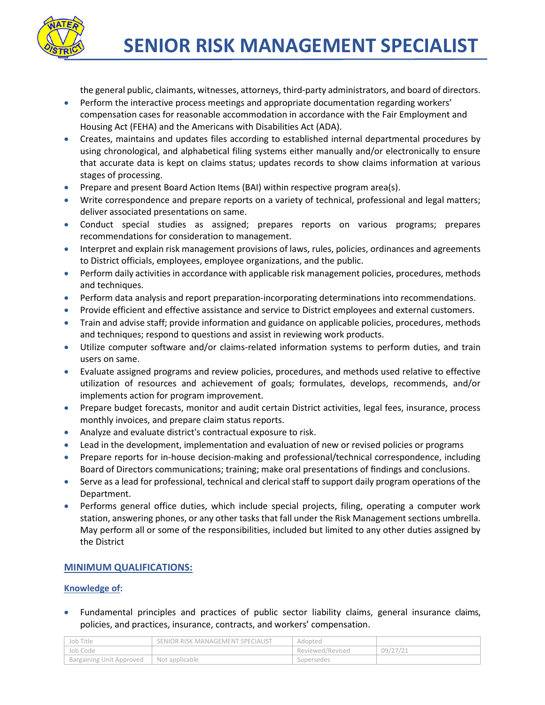

the general public, claimants, witnesses, attorneys, third-party administrators, and board of directors.

- **•** Perform the interactive process meetings and appropriate documentation regarding workers' compensation cases for reasonable accommodation in accordance with the Fair Employment and Housing Act (FEHA) and the Americans with Disabilities Act (ADA).
- Creates, maintains and updates files according to established internal departmental procedures by using chronological, and alphabetical filing systems either manually and/or electronically to ensure that accurate data is kept on claims status; updates records to show claims information at various stages of processing.
- Prepare and present Board Action Items (BAI) within respective program area(s).
- Write correspondence and prepare reports on a variety of technical, professional and legal matters; deliver associated presentations on same.
- Conduct special studies as assigned; prepares reports on various programs; prepares recommendations for consideration to management.
- **Interpret and explain risk management provisions of laws, rules, policies, ordinances and agreements** to District officials, employees, employee organizations, and the public.
- **Perform daily activities in accordance with applicable risk management policies, procedures, methods** and techniques.
- Perform data analysis and report preparation-incorporating determinations into recommendations.
- Provide efficient and effective assistance and service to District employees and external customers.
- Train and advise staff; provide information and guidance on applicable policies, procedures, methods and techniques; respond to questions and assist in reviewing work products.
- Utilize computer software and/or claims-related information systems to perform duties, and train users on same.
- Evaluate assigned programs and review policies, procedures, and methods used relative to effective utilization of resources and achievement of goals; formulates, develops, recommends, and/or implements action for program improvement.
- Prepare budget forecasts, monitor and audit certain District activities, legal fees, insurance, process monthly invoices, and prepare claim status reports.
- Analyze and evaluate district's contractual exposure to risk.
- Lead in the development, implementation and evaluation of new or revised policies or programs
- Prepare reports for in-house decision-making and professional/technical correspondence, including Board of Directors communications; training; make oral presentations of findings and conclusions.
- Serve as a lead for professional, technical and clerical staff to support daily program operations of the Department.
- Performs general office duties, which include special projects, filing, operating a computer work station, answering phones, or any other tasks that fall under the Risk Management sections umbrella. May perform all or some of the responsibilities, included but limited to any other duties assigned by the District

# **MINIMUM QUALIFICATIONS:**

### **Knowledge of:**

 Fundamental principles and practices of public sector liability claims, general insurance claims, policies, and practices, insurance, contracts, and workers' compensation.

| Job Title                | SENIOR RISK MANAGEMENT SPECIALIST | Adopted          |          |
|--------------------------|-----------------------------------|------------------|----------|
| Job Code                 |                                   | Reviewed/Revised | 09/27/21 |
| Bargaining Unit Approved | Not applicable                    | Supersedes       |          |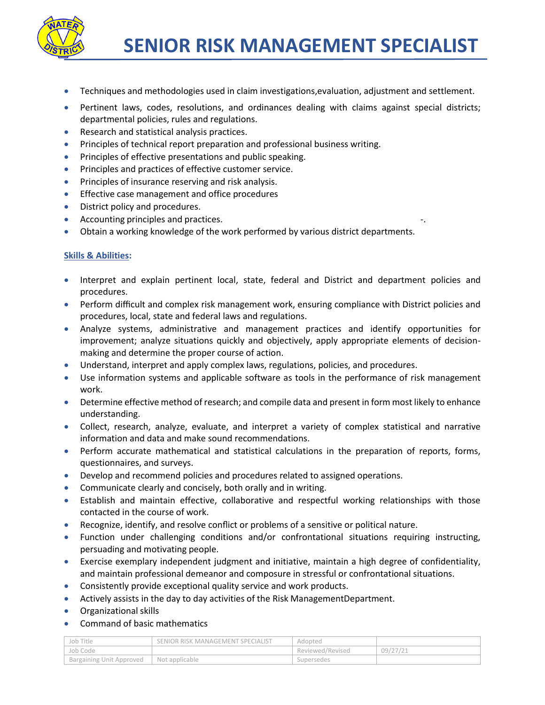

- Techniques and methodologies used in claim investigations,evaluation, adjustment and settlement.
- Pertinent laws, codes, resolutions, and ordinances dealing with claims against special districts; departmental policies, rules and regulations.
- **Research and statistical analysis practices.**
- Principles of technical report preparation and professional business writing.
- Principles of effective presentations and public speaking.
- Principles and practices of effective customer service.
- **•** Principles of insurance reserving and risk analysis.
- **Effective case management and office procedures**
- District policy and procedures.
- Accounting principles and practices.
- Obtain a working knowledge of the work performed by various district departments.

## **Skills & Abilities:**

- Interpret and explain pertinent local, state, federal and District and department policies and procedures.
- Perform difficult and complex risk management work, ensuring compliance with District policies and procedures, local, state and federal laws and regulations.
- Analyze systems, administrative and management practices and identify opportunities for improvement; analyze situations quickly and objectively, apply appropriate elements of decisionmaking and determine the proper course of action.
- Understand, interpret and apply complex laws, regulations, policies, and procedures.
- Use information systems and applicable software as tools in the performance of risk management work.
- Determine effective method of research; and compile data and present in form most likely to enhance understanding.
- Collect, research, analyze, evaluate, and interpret a variety of complex statistical and narrative information and data and make sound recommendations.
- Perform accurate mathematical and statistical calculations in the preparation of reports, forms, questionnaires, and surveys.
- Develop and recommend policies and procedures related to assigned operations.
- Communicate clearly and concisely, both orally and in writing.
- Establish and maintain effective, collaborative and respectful working relationships with those contacted in the course of work.
- Recognize, identify, and resolve conflict or problems of a sensitive or political nature.
- Function under challenging conditions and/or confrontational situations requiring instructing, persuading and motivating people.
- Exercise exemplary independent judgment and initiative, maintain a high degree of confidentiality, and maintain professional demeanor and composure in stressful or confrontational situations.
- Consistently provide exceptional quality service and work products.
- Actively assists in the day to day activities of the Risk ManagementDepartment.
- Organizational skills
- Command of basic mathematics

| Job Title                | SENIOR RISK MANAGEMENT SPECIALIST | Adopted          |          |
|--------------------------|-----------------------------------|------------------|----------|
| Job Code                 |                                   | Reviewed/Revised | 09/27/21 |
| Bargaining Unit Approved | Not applicable                    | Supersedes       |          |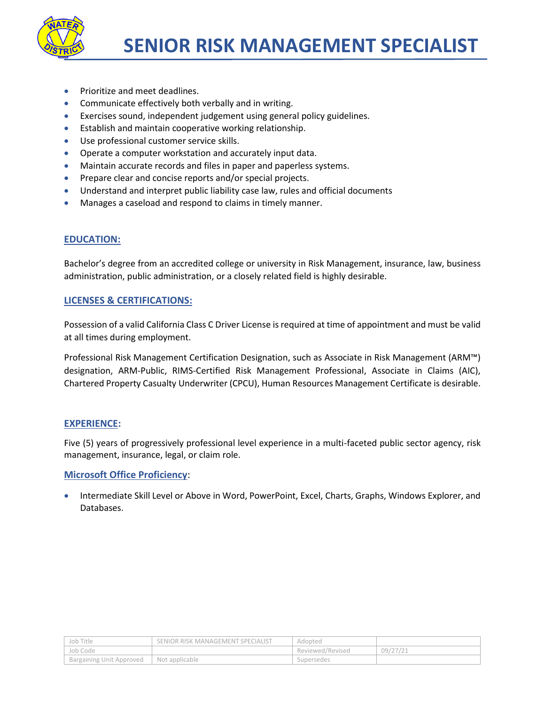

- Prioritize and meet deadlines.
- Communicate effectively both verbally and in writing.
- Exercises sound, independent judgement using general policy guidelines.
- **Establish and maintain cooperative working relationship.**
- Use professional customer service skills.
- Operate a computer workstation and accurately input data.
- Maintain accurate records and files in paper and paperless systems.
- Prepare clear and concise reports and/or special projects.
- Understand and interpret public liability case law, rules and official documents
- Manages a caseload and respond to claims in timely manner.

# **EDUCATION:**

Bachelor's degree from an accredited college or university in Risk Management, insurance, law, business administration, public administration, or a closely related field is highly desirable.

## **LICENSES & CERTIFICATIONS:**

Possession of a valid California Class C Driver License is required at time of appointment and must be valid at all times during employment.

Professional Risk Management Certification Designation, such as Associate in Risk Management (ARM™) designation, ARM-Public, RIMS-Certified Risk Management Professional, Associate in Claims (AIC), Chartered Property Casualty Underwriter (CPCU), Human Resources Management Certificate is desirable.

### **EXPERIENCE:**

Five (5) years of progressively professional level experience in a multi-faceted public sector agency, risk management, insurance, legal, or claim role.

### **Microsoft Office Proficiency**:

 Intermediate Skill Level or Above in Word, PowerPoint, Excel, Charts, Graphs, Windows Explorer, and Databases.

| Job Title                | SENIOR RISK MANAGEMENT SPECIALIST | Adopted          |          |
|--------------------------|-----------------------------------|------------------|----------|
| Job Code                 |                                   | Reviewed/Revised | 09/27/21 |
| Bargaining Unit Approved | Not applicable                    | Supersedes       |          |